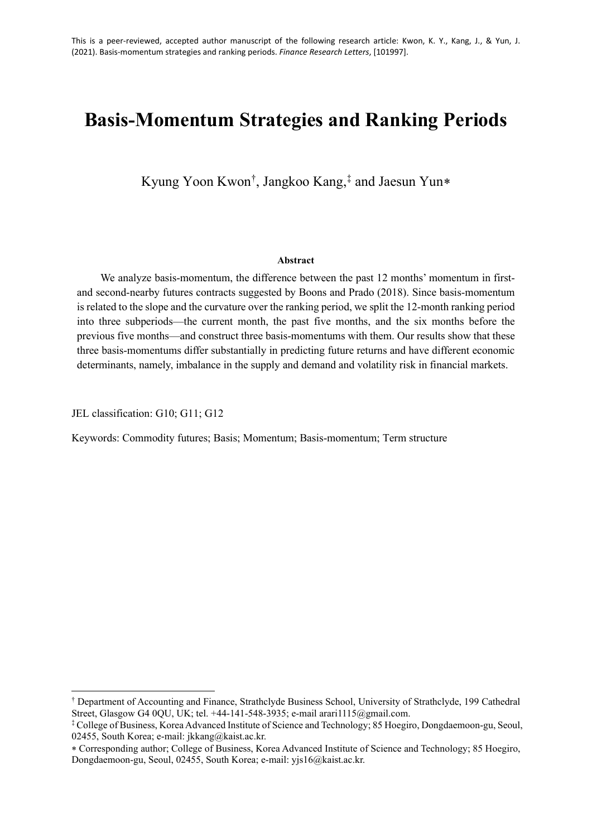# **Basis-Momentum Strategies and Ranking Periods**

Kyung Yoon Kwon[†](#page-0-0) , Jangkoo Kang,[‡](#page-0-1) and Jaesun Yun[∗](#page-0-2)

#### **Abstract**

We analyze basis-momentum, the difference between the past 12 months' momentum in firstand second-nearby futures contracts suggested by Boons and Prado (2018). Since basis-momentum is related to the slope and the curvature over the ranking period, we split the 12-month ranking period into three subperiods—the current month, the past five months, and the six months before the previous five months—and construct three basis-momentums with them. Our results show that these three basis-momentums differ substantially in predicting future returns and have different economic determinants, namely, imbalance in the supply and demand and volatility risk in financial markets.

JEL classification: G10; G11; G12

Keywords: Commodity futures; Basis; Momentum; Basis-momentum; Term structure

<span id="page-0-0"></span><sup>†</sup> Department of Accounting and Finance, Strathclyde Business School, University of Strathclyde, 199 Cathedral Street, Glasgow G4 0QU, UK; tel. +44-141-548-3935; e-mail arari1115@gmail.com.

<span id="page-0-1"></span><sup>‡</sup> College of Business, Korea Advanced Institute of Science and Technology; 85 Hoegiro, Dongdaemoon-gu, Seoul, 02455, South Korea; e-mail: jkkang@kaist.ac.kr.

<span id="page-0-2"></span><sup>∗</sup> Corresponding author; College of Business, Korea Advanced Institute of Science and Technology; 85 Hoegiro, Dongdaemoon-gu, Seoul, 02455, South Korea; e-mail: yjs16@kaist.ac.kr.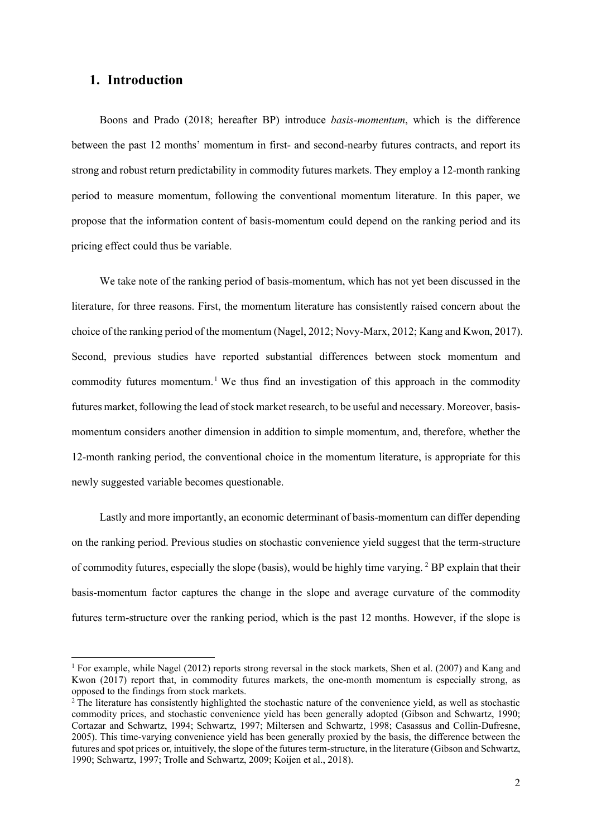# **1. Introduction**

Boons and Prado (2018; hereafter BP) introduce *basis-momentum*, which is the difference between the past 12 months' momentum in first- and second-nearby futures contracts, and report its strong and robust return predictability in commodity futures markets. They employ a 12-month ranking period to measure momentum, following the conventional momentum literature. In this paper, we propose that the information content of basis-momentum could depend on the ranking period and its pricing effect could thus be variable.

We take note of the ranking period of basis-momentum, which has not yet been discussed in the literature, for three reasons. First, the momentum literature has consistently raised concern about the choice of the ranking period of the momentum (Nagel, 2012; Novy-Marx, 2012; Kang and Kwon, 2017). Second, previous studies have reported substantial differences between stock momentum and commodity futures momentum.<sup>[1](#page-1-0)</sup> We thus find an investigation of this approach in the commodity futures market, following the lead of stock market research, to be useful and necessary. Moreover, basismomentum considers another dimension in addition to simple momentum, and, therefore, whether the 12-month ranking period, the conventional choice in the momentum literature, is appropriate for this newly suggested variable becomes questionable.

Lastly and more importantly, an economic determinant of basis-momentum can differ depending on the ranking period. Previous studies on stochastic convenience yield suggest that the term-structure of commodity futures, especially the slope (basis), would be highly time varying. [2](#page-1-1) BP explain that their basis-momentum factor captures the change in the slope and average curvature of the commodity futures term-structure over the ranking period, which is the past 12 months. However, if the slope is

<span id="page-1-0"></span><sup>&</sup>lt;sup>1</sup> For example, while Nagel (2012) reports strong reversal in the stock markets, Shen et al. (2007) and Kang and Kwon (2017) report that, in commodity futures markets, the one-month momentum is especially strong, as opposed to the findings from stock markets.

<span id="page-1-1"></span><sup>&</sup>lt;sup>2</sup> The literature has consistently highlighted the stochastic nature of the convenience yield, as well as stochastic commodity prices, and stochastic convenience yield has been generally adopted (Gibson and Schwartz, 1990; Cortazar and Schwartz, 1994; Schwartz, 1997; Miltersen and Schwartz, 1998; Casassus and Collin-Dufresne, 2005). This time-varying convenience yield has been generally proxied by the basis, the difference between the futures and spot prices or, intuitively, the slope of the futures term-structure, in the literature (Gibson and Schwartz, 1990; Schwartz, 1997; Trolle and Schwartz, 2009; Koijen et al., 2018).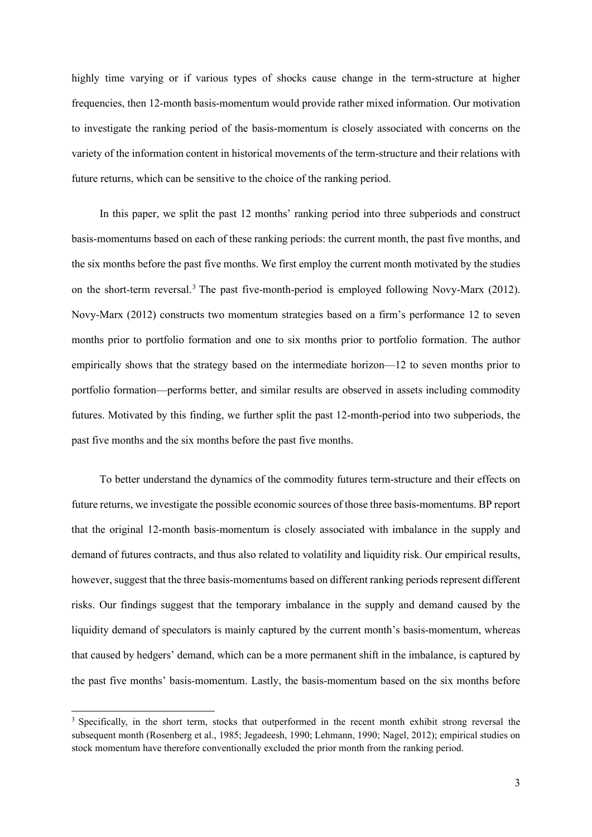highly time varying or if various types of shocks cause change in the term-structure at higher frequencies, then 12-month basis-momentum would provide rather mixed information. Our motivation to investigate the ranking period of the basis-momentum is closely associated with concerns on the variety of the information content in historical movements of the term-structure and their relations with future returns, which can be sensitive to the choice of the ranking period.

In this paper, we split the past 12 months' ranking period into three subperiods and construct basis-momentums based on each of these ranking periods: the current month, the past five months, and the six months before the past five months. We first employ the current month motivated by the studies on the short-term reversal.[3](#page-2-0) The past five-month-period is employed following Novy-Marx (2012). Novy-Marx (2012) constructs two momentum strategies based on a firm's performance 12 to seven months prior to portfolio formation and one to six months prior to portfolio formation. The author empirically shows that the strategy based on the intermediate horizon—12 to seven months prior to portfolio formation—performs better, and similar results are observed in assets including commodity futures. Motivated by this finding, we further split the past 12-month-period into two subperiods, the past five months and the six months before the past five months.

To better understand the dynamics of the commodity futures term-structure and their effects on future returns, we investigate the possible economic sources of those three basis-momentums. BP report that the original 12-month basis-momentum is closely associated with imbalance in the supply and demand of futures contracts, and thus also related to volatility and liquidity risk. Our empirical results, however, suggest that the three basis-momentums based on different ranking periods represent different risks. Our findings suggest that the temporary imbalance in the supply and demand caused by the liquidity demand of speculators is mainly captured by the current month's basis-momentum, whereas that caused by hedgers' demand, which can be a more permanent shift in the imbalance, is captured by the past five months' basis-momentum. Lastly, the basis-momentum based on the six months before

<span id="page-2-0"></span><sup>&</sup>lt;sup>3</sup> Specifically, in the short term, stocks that outperformed in the recent month exhibit strong reversal the subsequent month (Rosenberg et al., 1985; Jegadeesh, 1990; Lehmann, 1990; Nagel, 2012); empirical studies on stock momentum have therefore conventionally excluded the prior month from the ranking period.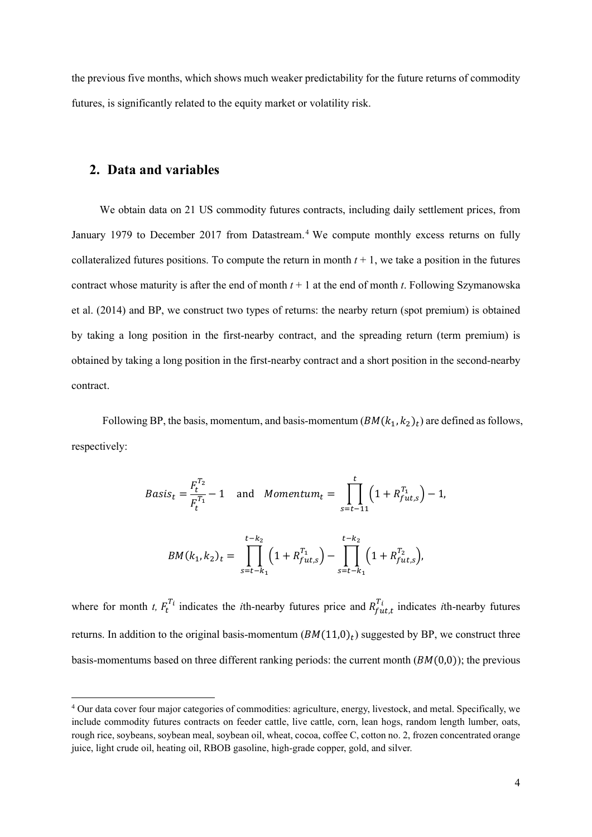the previous five months, which shows much weaker predictability for the future returns of commodity futures, is significantly related to the equity market or volatility risk.

# **2. Data and variables**

We obtain data on 21 US commodity futures contracts, including daily settlement prices, from January 1979 to December 2017 from Datastream.<sup>[4](#page-3-0)</sup> We compute monthly excess returns on fully collateralized futures positions. To compute the return in month  $t + 1$ , we take a position in the futures contract whose maturity is after the end of month  $t + 1$  at the end of month  $t$ . Following Szymanowska et al. (2014) and BP, we construct two types of returns: the nearby return (spot premium) is obtained by taking a long position in the first-nearby contract, and the spreading return (term premium) is obtained by taking a long position in the first-nearby contract and a short position in the second-nearby contract.

Following BP, the basis, momentum, and basis-momentum  $(BM(k_1, k_2)_t)$  are defined as follows, respectively:

$$
Basis_t = \frac{F_t^{T_2}}{F_t^{T_1}} - 1 \quad \text{and} \quad \text{Momentum}_t = \prod_{s=t-11}^t \left(1 + R_{futs}^{T_1}\right) - 1,
$$
\n
$$
BM(k_1, k_2)_t = \prod_{s=t-k_1}^{t-k_2} \left(1 + R_{futs}^{T_1}\right) - \prod_{s=t-k_1}^{t-k_2} \left(1 + R_{futs}^{T_2}\right),
$$

where for month *t,*  $F_t^{T_i}$  indicates the *i*th-nearby futures price and  $R_{fut,t}^{T_i}$  indicates *i*th-nearby futures returns. In addition to the original basis-momentum  $(BM(11,0)_t)$  suggested by BP, we construct three basis-momentums based on three different ranking periods: the current month  $(BM(0,0))$ ; the previous

<span id="page-3-0"></span><sup>4</sup> Our data cover four major categories of commodities: agriculture, energy, livestock, and metal. Specifically, we include commodity futures contracts on feeder cattle, live cattle, corn, lean hogs, random length lumber, oats, rough rice, soybeans, soybean meal, soybean oil, wheat, cocoa, coffee C, cotton no. 2, frozen concentrated orange juice, light crude oil, heating oil, RBOB gasoline, high-grade copper, gold, and silver.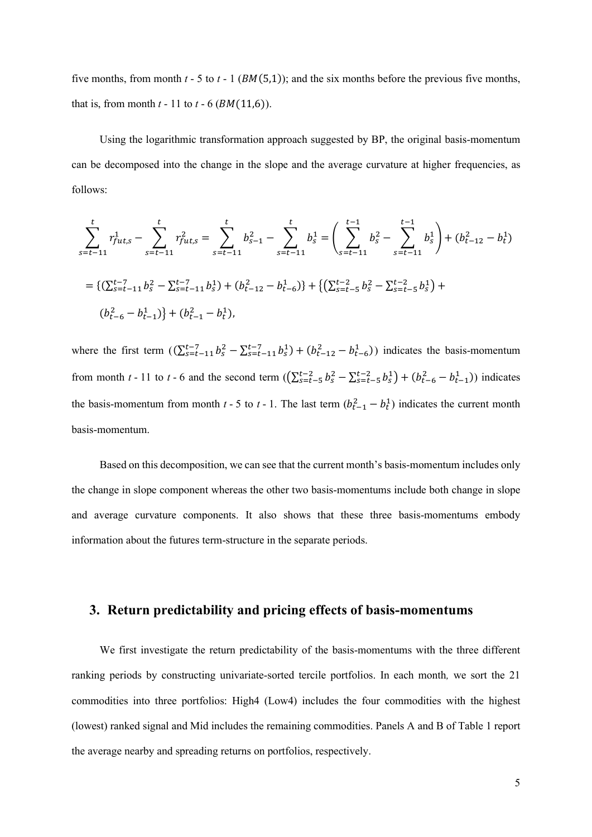five months, from month  $t - 5$  to  $t - 1$  ( $BM(5,1)$ ); and the six months before the previous five months, that is, from month  $t - 11$  to  $t - 6$  ( $BM(11,6)$ ).

Using the logarithmic transformation approach suggested by BP, the original basis-momentum can be decomposed into the change in the slope and the average curvature at higher frequencies, as follows:

$$
\sum_{s=t-11}^{t} r_{fut,s}^{1} - \sum_{s=t-11}^{t} r_{fut,s}^{2} = \sum_{s=t-11}^{t} b_{s-1}^{2} - \sum_{s=t-11}^{t} b_{s}^{1} = \left( \sum_{s=t-11}^{t-1} b_{s}^{2} - \sum_{s=t-11}^{t-1} b_{s}^{1} \right) + (b_{t-12}^{2} - b_{t}^{1})
$$
  
=  $\{ (\sum_{s=t-11}^{t-7} b_{s}^{2} - \sum_{s=t-11}^{t-7} b_{s}^{1}) + (b_{t-12}^{2} - b_{t-6}^{1}) \} + \{ (\sum_{s=t-5}^{t-2} b_{s}^{2} - \sum_{s=t-5}^{t-2} b_{s}^{1}) + (b_{t-6}^{2} - b_{t-1}^{1}) \} + (b_{t-1}^{2} - b_{t}^{1}),$ 

where the first term  $((\sum_{s=t-1}^{t-7} b_s^2 - \sum_{s=t-1}^{t-7} b_s^1) + (b_{t-12}^2 - b_{t-6}^1))$  indicates the basis-momentum from month *t* - 11 to *t* - 6 and the second term  $((\sum_{s=t-5}^{t-2} b_s^2 - \sum_{s=t-5}^{t-2} b_s^1) + (b_{t-6}^2 - b_{t-1}^1))$  indicates the basis-momentum from month *t* - 5 to *t* - 1. The last term  $(b_{t-1}^2 - b_t^1)$  indicates the current month basis-momentum.

Based on this decomposition, we can see that the current month's basis-momentum includes only the change in slope component whereas the other two basis-momentums include both change in slope and average curvature components. It also shows that these three basis-momentums embody information about the futures term-structure in the separate periods.

# **3. Return predictability and pricing effects of basis-momentums**

We first investigate the return predictability of the basis-momentums with the three different ranking periods by constructing univariate-sorted tercile portfolios. In each month*,* we sort the 21 commodities into three portfolios: High4 (Low4) includes the four commodities with the highest (lowest) ranked signal and Mid includes the remaining commodities. Panels A and B of Table 1 report the average nearby and spreading returns on portfolios, respectively.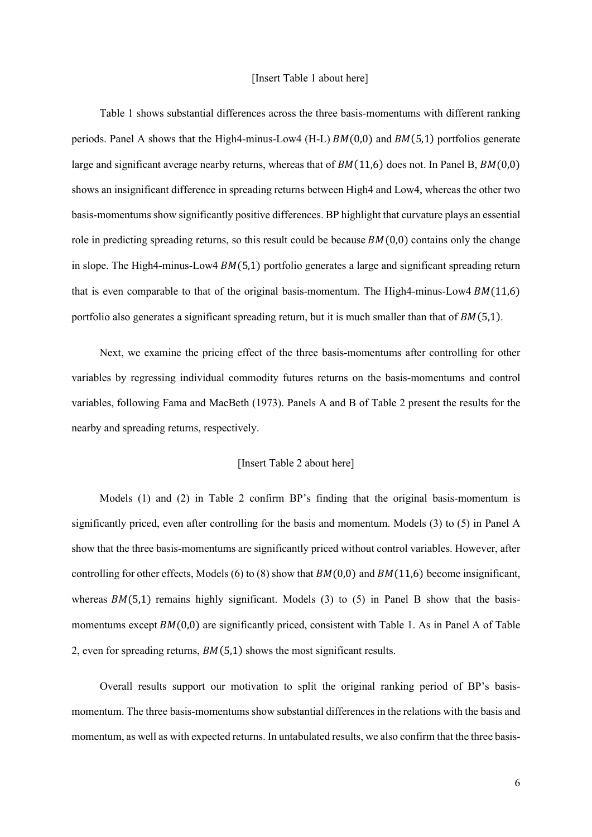Table 1 shows substantial differences across the three basis-momentums with different ranking periods. Panel A shows that the High4-minus-Low4 (H-L)  $BM(0,0)$  and  $BM(5,1)$  portfolios generate large and significant average nearby returns, whereas that of  $BM(11.6)$  does not. In Panel B,  $BM(0.0)$ shows an insignificant difference in spreading returns between High4 and Low4, whereas the other two basis-momentums show significantly positive differences. BP highlight that curvature plays an essential role in predicting spreading returns, so this result could be because  $BM(0,0)$  contains only the change in slope. The High4-minus-Low4  $BM(5,1)$  portfolio generates a large and significant spreading return that is even comparable to that of the original basis-momentum. The High4-minus-Low4  $BM(11,6)$ portfolio also generates a significant spreading return, but it is much smaller than that of  $BM(5,1)$ .

Next, we examine the pricing effect of the three basis-momentums after controlling for other variables by regressing individual commodity futures returns on the basis-momentums and control variables, following Fama and MacBeth (1973). Panels A and B of Table 2 present the results for the nearby and spreading returns, respectively.

#### [Insert Table 2 about here]

Models (1) and (2) in Table 2 confirm BP's finding that the original basis-momentum is significantly priced, even after controlling for the basis and momentum. Models (3) to (5) in Panel A show that the three basis-momentums are significantly priced without control variables. However, after controlling for other effects, Models (6) to (8) show that  $BM(0,0)$  and  $BM(11,6)$  become insignificant, whereas  $BM(5,1)$  remains highly significant. Models (3) to (5) in Panel B show that the basismomentums except  $BM(0,0)$  are significantly priced, consistent with Table 1. As in Panel A of Table 2, even for spreading returns,  $BM(5,1)$  shows the most significant results.

Overall results support our motivation to split the original ranking period of BP's basismomentum. The three basis-momentums show substantial differences in the relations with the basis and momentum, as well as with expected returns. In untabulated results, we also confirm that the three basis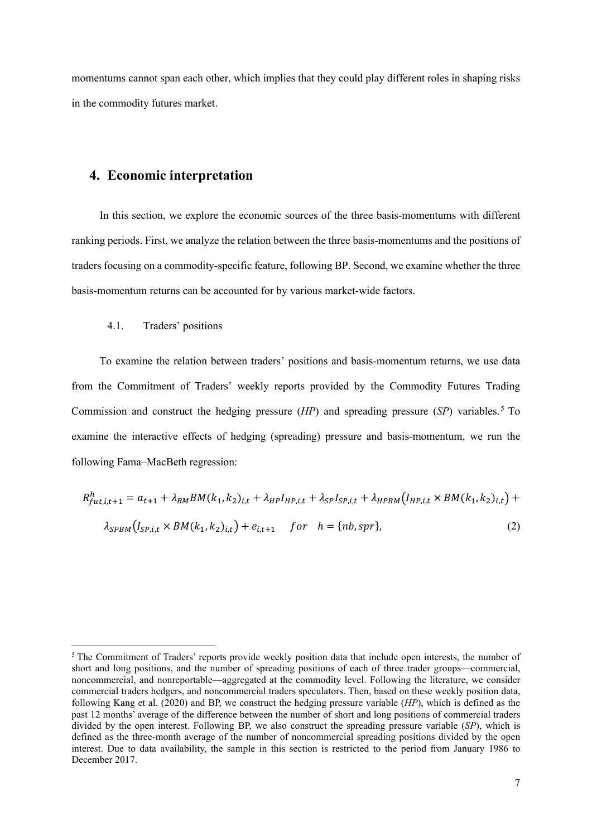momentums cannot span each other, which implies that they could play different roles in shaping risks in the commodity futures market.

## **4. Economic interpretation**

In this section, we explore the economic sources of the three basis-momentums with different ranking periods. First, we analyze the relation between the three basis-momentums and the positions of traders focusing on a commodity-specific feature, following BP. Second, we examine whether the three basis-momentum returns can be accounted for by various market-wide factors.

#### 4.1. Traders' positions

To examine the relation between traders' positions and basis-momentum returns, we use data from the Commitment of Traders' weekly reports provided by the Commodity Futures Trading Commission and construct the hedging pressure (*HP*) and spreading pressure (*SP*) variables. [5](#page-6-0) To examine the interactive effects of hedging (spreading) pressure and basis-momentum, we run the following Fama–MacBeth regression:

$$
R_{fut,i,t+1}^{h} = a_{t+1} + \lambda_{BM} BM(k_1, k_2)_{i,t} + \lambda_{HP} I_{HP,i,t} + \lambda_{SP} I_{SP,i,t} + \lambda_{HPBM} (I_{HP,i,t} \times BM(k_1, k_2)_{i,t}) +
$$
  

$$
\lambda_{SPBM} (I_{SP,i,t} \times BM(k_1, k_2)_{i,t}) + e_{i,t+1} \quad for \quad h = \{nb, spr\},
$$
 (2)

<span id="page-6-0"></span><sup>5</sup> The Commitment of Traders' reports provide weekly position data that include open interests, the number of short and long positions, and the number of spreading positions of each of three trader groups—commercial, noncommercial, and nonreportable—aggregated at the commodity level. Following the literature, we consider commercial traders hedgers, and noncommercial traders speculators. Then, based on these weekly position data, following Kang et al. (2020) and BP, we construct the hedging pressure variable (*HP*), which is defined as the past 12 months' average of the difference between the number of short and long positions of commercial traders divided by the open interest. Following BP, we also construct the spreading pressure variable (*SP*), which is defined as the three-month average of the number of noncommercial spreading positions divided by the open interest. Due to data availability, the sample in this section is restricted to the period from January 1986 to December 2017.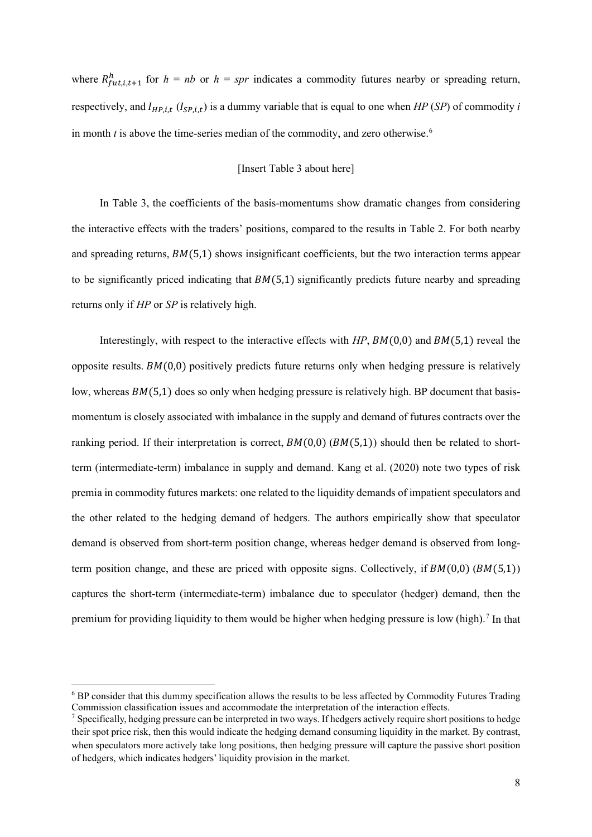where  $R_{fut,i,t+1}^{h}$  for  $h = nb$  or  $h = spr$  indicates a commodity futures nearby or spreading return, respectively, and  $I_{HP, i,t}$  ( $I_{SP, i,t}$ ) is a dummy variable that is equal to one when *HP* (*SP*) of commodity *i* in month  $t$  is above the time-series median of the commodity, and zero otherwise.<sup>[6](#page-7-0)</sup>

## [Insert Table 3 about here]

In Table 3, the coefficients of the basis-momentums show dramatic changes from considering the interactive effects with the traders' positions, compared to the results in Table 2. For both nearby and spreading returns,  $BM(5,1)$  shows insignificant coefficients, but the two interaction terms appear to be significantly priced indicating that  $BM(5,1)$  significantly predicts future nearby and spreading returns only if *HP* or *SP* is relatively high.

Interestingly, with respect to the interactive effects with  $HP$ ,  $BM(0,0)$  and  $BM(5,1)$  reveal the opposite results.  $BM(0,0)$  positively predicts future returns only when hedging pressure is relatively low, whereas  $BM(5,1)$  does so only when hedging pressure is relatively high. BP document that basismomentum is closely associated with imbalance in the supply and demand of futures contracts over the ranking period. If their interpretation is correct,  $BM(0,0)$  ( $BM(5,1)$ ) should then be related to shortterm (intermediate-term) imbalance in supply and demand. Kang et al. (2020) note two types of risk premia in commodity futures markets: one related to the liquidity demands of impatient speculators and the other related to the hedging demand of hedgers. The authors empirically show that speculator demand is observed from short-term position change, whereas hedger demand is observed from longterm position change, and these are priced with opposite signs. Collectively, if  $BM(0,0)$  ( $BM(5,1)$ ) captures the short-term (intermediate-term) imbalance due to speculator (hedger) demand, then the premium for providing liquidity to them would be higher when hedging pressure is low (high).<sup>[7](#page-7-1)</sup> In that

<span id="page-7-0"></span><sup>6</sup> BP consider that this dummy specification allows the results to be less affected by Commodity Futures Trading Commission classification issues and accommodate the interpretation of the interaction effects.

<span id="page-7-1"></span> $<sup>7</sup>$  Specifically, hedging pressure can be interpreted in two ways. If hedgers actively require short positions to hedge</sup> their spot price risk, then this would indicate the hedging demand consuming liquidity in the market. By contrast, when speculators more actively take long positions, then hedging pressure will capture the passive short position of hedgers, which indicates hedgers' liquidity provision in the market.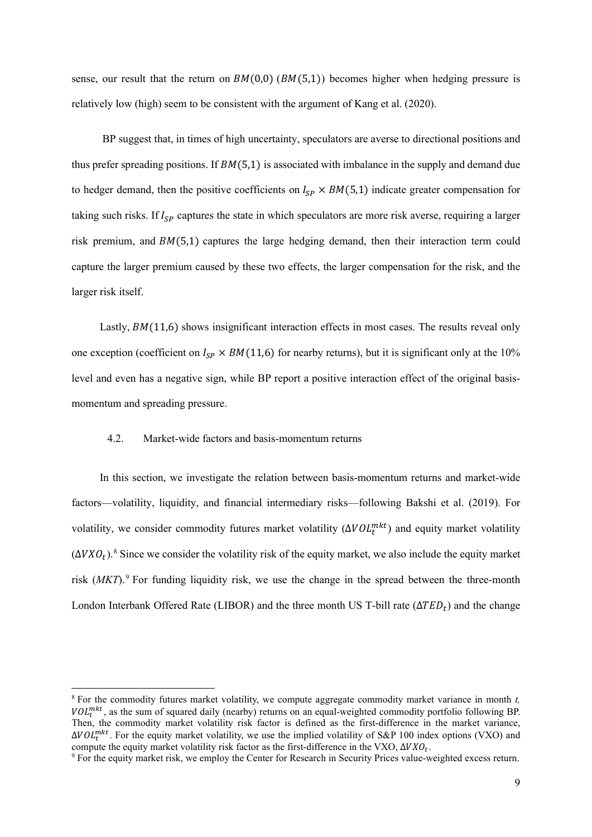sense, our result that the return on  $BM(0,0)$  ( $BM(5,1)$ ) becomes higher when hedging pressure is relatively low (high) seem to be consistent with the argument of Kang et al. (2020).

BP suggest that, in times of high uncertainty, speculators are averse to directional positions and thus prefer spreading positions. If  $BM(5,1)$  is associated with imbalance in the supply and demand due to hedger demand, then the positive coefficients on  $I_{SP} \times BM(5,1)$  indicate greater compensation for taking such risks. If  $I_{SP}$  captures the state in which speculators are more risk averse, requiring a larger risk premium, and  $BM(5,1)$  captures the large hedging demand, then their interaction term could capture the larger premium caused by these two effects, the larger compensation for the risk, and the larger risk itself.

Lastly,  $BM(11,6)$  shows insignificant interaction effects in most cases. The results reveal only one exception (coefficient on  $I_{SP} \times BM(11,6)$  for nearby returns), but it is significant only at the 10% level and even has a negative sign, while BP report a positive interaction effect of the original basismomentum and spreading pressure.

#### 4.2. Market-wide factors and basis-momentum returns

In this section, we investigate the relation between basis-momentum returns and market-wide factors—volatility, liquidity, and financial intermediary risks—following Bakshi et al. (2019). For volatility, we consider commodity futures market volatility  $(\Delta VOL^{mkt}_t)$  and equity market volatility  $(\Delta V X O_t)^8$  $(\Delta V X O_t)^8$ .<sup>8</sup> Since we consider the volatility risk of the equity market, we also include the equity market risk (*MKT*).<sup>[9](#page-8-1)</sup> For funding liquidity risk, we use the change in the spread between the three-month London Interbank Offered Rate (LIBOR) and the three month US T-bill rate ( $\Delta TED_t$ ) and the change

<span id="page-8-0"></span><sup>8</sup> For the commodity futures market volatility, we compute aggregate commodity market variance in month *t,*   $VOL_t^{mkt}$ , as the sum of squared daily (nearby) returns on an equal-weighted commodity portfolio following BP. Then, the commodity market volatility risk factor is defined as the first-difference in the market variance,  $\Delta VOL^{mkt}_{t}$ . For the equity market volatility, we use the implied volatility of S&P 100 index options (VXO) and compute the equity market volatility risk factor as the first-difference in the VXO,  $\Delta VXO_t$ .<br><sup>9</sup> For the equity market risk, we employ the Center for Research in Security Prices value-weighted excess return.

<span id="page-8-1"></span>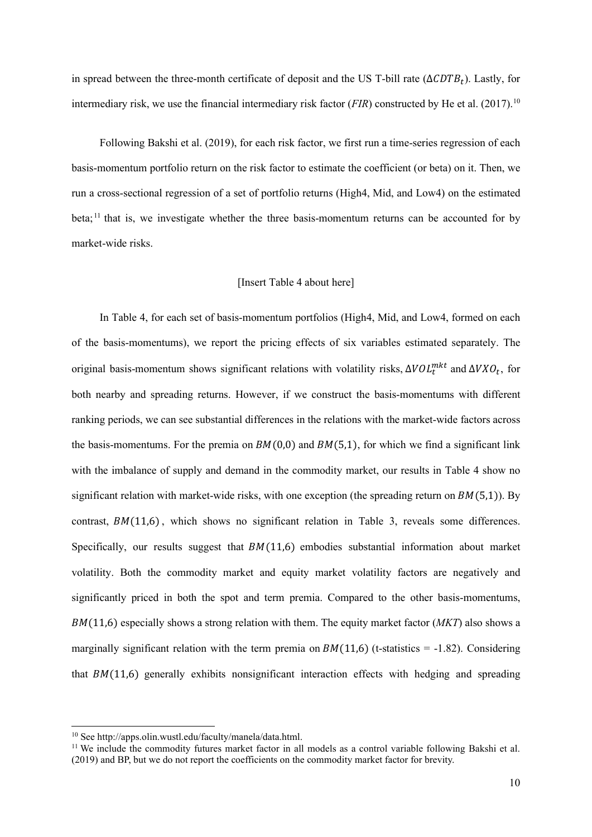in spread between the three-month certificate of deposit and the US T-bill rate ( $\Delta CDTB_t$ ). Lastly, for intermediary risk, we use the financial intermediary risk factor (*FIR*) constructed by He et al. (2017).<sup>[10](#page-9-0)</sup>

Following Bakshi et al. (2019), for each risk factor, we first run a time-series regression of each basis-momentum portfolio return on the risk factor to estimate the coefficient (or beta) on it. Then, we run a cross-sectional regression of a set of portfolio returns (High4, Mid, and Low4) on the estimated beta;<sup>[11](#page-9-1)</sup> that is, we investigate whether the three basis-momentum returns can be accounted for by market-wide risks.

#### [Insert Table 4 about here]

In Table 4, for each set of basis-momentum portfolios (High4, Mid, and Low4, formed on each of the basis-momentums), we report the pricing effects of six variables estimated separately. The original basis-momentum shows significant relations with volatility risks,  $\Delta VOL^{mkt}_t$  and  $\Delta VXO_t$ , for both nearby and spreading returns. However, if we construct the basis-momentums with different ranking periods, we can see substantial differences in the relations with the market-wide factors across the basis-momentums. For the premia on  $BM(0,0)$  and  $BM(5,1)$ , for which we find a significant link with the imbalance of supply and demand in the commodity market, our results in Table 4 show no significant relation with market-wide risks, with one exception (the spreading return on  $BM(5,1)$ ). By contrast,  $BM(11,6)$ , which shows no significant relation in Table 3, reveals some differences. Specifically, our results suggest that  $BM(11,6)$  embodies substantial information about market volatility. Both the commodity market and equity market volatility factors are negatively and significantly priced in both the spot and term premia. Compared to the other basis-momentums, (11,6) especially shows a strong relation with them. The equity market factor (*MKT*) also shows a marginally significant relation with the term premia on  $BM(11,6)$  (t-statistics = -1.82). Considering that  $BM(11,6)$  generally exhibits nonsignificant interaction effects with hedging and spreading

<span id="page-9-1"></span><span id="page-9-0"></span><sup>&</sup>lt;sup>10</sup> See http://apps.olin.wustl.edu/faculty/manela/data.html.<br><sup>11</sup> We include the commodity futures market factor in all models as a control variable following Bakshi et al. (2019) and BP, but we do not report the coefficients on the commodity market factor for brevity.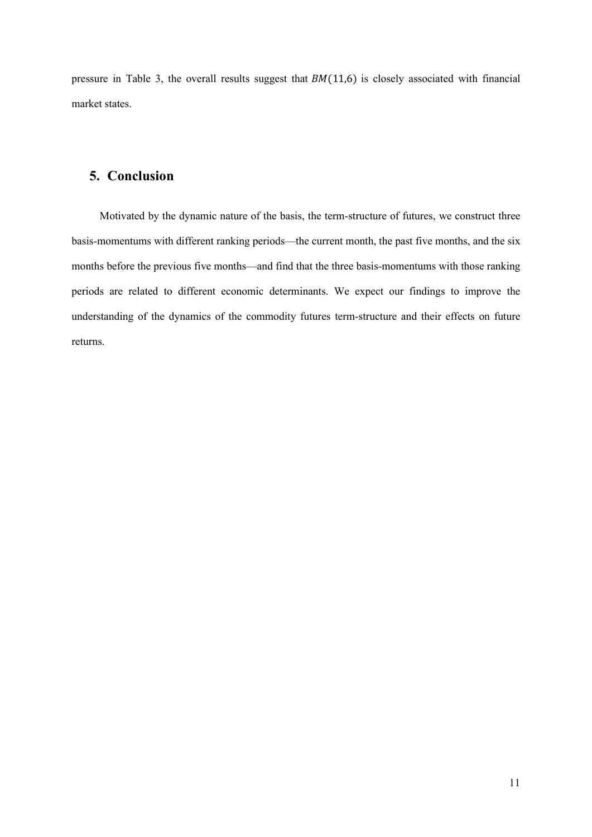pressure in Table 3, the overall results suggest that  $BM(11,6)$  is closely associated with financial market states.

# **5. Conclusion**

Motivated by the dynamic nature of the basis, the term-structure of futures, we construct three basis-momentums with different ranking periods—the current month, the past five months, and the six months before the previous five months—and find that the three basis-momentums with those ranking periods are related to different economic determinants. We expect our findings to improve the understanding of the dynamics of the commodity futures term-structure and their effects on future returns.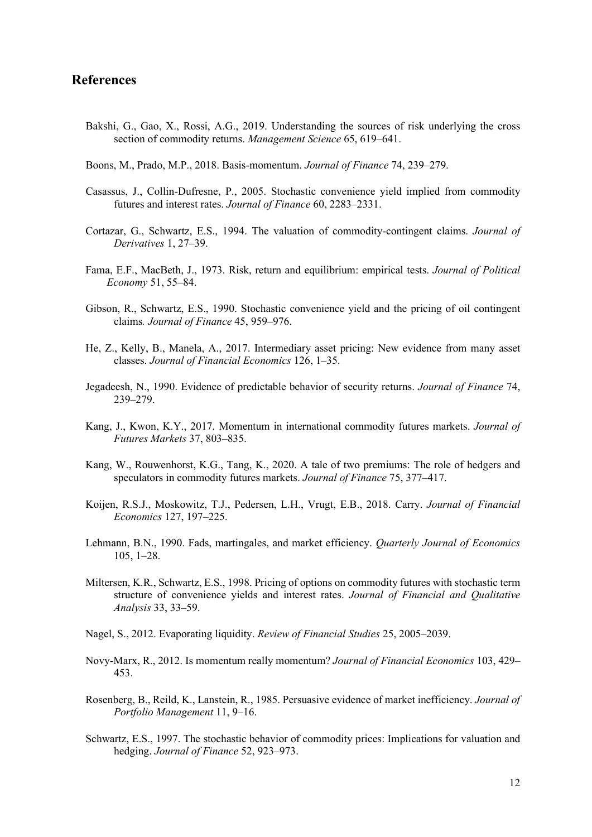# **References**

- Bakshi, G., Gao, X., Rossi, A.G., 2019. Understanding the sources of risk underlying the cross section of commodity returns. *Management Science* 65, 619–641.
- Boons, M., Prado, M.P., 2018. Basis-momentum. *Journal of Finance* 74, 239–279.
- Casassus, J., Collin-Dufresne, P., 2005. Stochastic convenience yield implied from commodity futures and interest rates. *Journal of Finance* 60, 2283–2331.
- Cortazar, G., Schwartz, E.S., 1994. The valuation of commodity-contingent claims. *Journal of Derivatives* 1, 27–39.
- Fama, E.F., MacBeth, J., 1973. Risk, return and equilibrium: empirical tests. *Journal of Political Economy* 51, 55–84.
- Gibson, R., Schwartz, E.S., 1990. Stochastic convenience yield and the pricing of oil contingent claims*. Journal of Finance* 45, 959–976.
- He, Z., Kelly, B., Manela, A., 2017. Intermediary asset pricing: New evidence from many asset classes. *Journal of Financial Economics* 126, 1–35.
- Jegadeesh, N., 1990. Evidence of predictable behavior of security returns. *Journal of Finance* 74, 239–279.
- Kang, J., Kwon, K.Y., 2017. Momentum in international commodity futures markets. *Journal of Futures Markets* 37, 803–835.
- Kang, W., Rouwenhorst, K.G., Tang, K., 2020. A tale of two premiums: The role of hedgers and speculators in commodity futures markets. *Journal of Finance* 75, 377–417.
- Koijen, R.S.J., Moskowitz, T.J., Pedersen, L.H., Vrugt, E.B., 2018. Carry. *Journal of Financial Economics* 127, 197–225.
- Lehmann, B.N., 1990. Fads, martingales, and market efficiency. *Quarterly Journal of Economics* 105, 1–28.
- Miltersen, K.R., Schwartz, E.S., 1998. Pricing of options on commodity futures with stochastic term structure of convenience yields and interest rates. *Journal of Financial and Qualitative Analysis* 33, 33–59.
- Nagel, S., 2012. Evaporating liquidity. *Review of Financial Studies* 25, 2005–2039.
- Novy-Marx, R., 2012. Is momentum really momentum? *Journal of Financial Economics* 103, 429– 453.
- Rosenberg, B., Reild, K., Lanstein, R., 1985. Persuasive evidence of market inefficiency. *Journal of Portfolio Management* 11, 9–16.
- Schwartz, E.S., 1997. The stochastic behavior of commodity prices: Implications for valuation and hedging. *Journal of Finance* 52, 923–973.